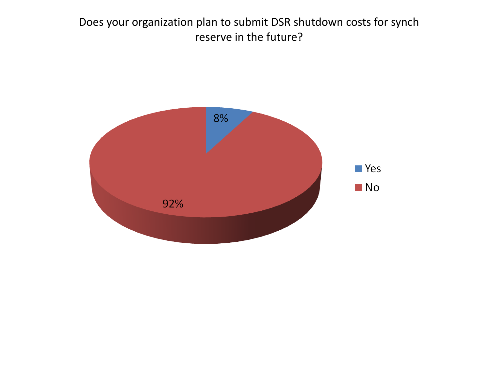Does your organization plan to submit DSR shutdown costs for synch reserve in the future?

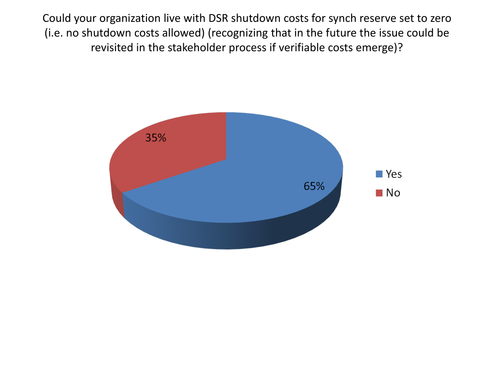Could your organization live with DSR shutdown costs for synch reserve set to zero (i.e. no shutdown costs allowed) (recognizing that in the future the issue could be revisited in the stakeholder process if verifiable costs emerge)?

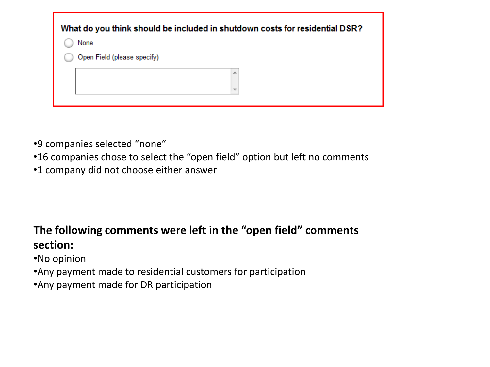| What do you think should be included in shutdown costs for residential DSR? |                             |  |  |
|-----------------------------------------------------------------------------|-----------------------------|--|--|
|                                                                             | None                        |  |  |
|                                                                             | Open Field (please specify) |  |  |
|                                                                             | 止                           |  |  |
|                                                                             | $\overline{\phantom{a}}$    |  |  |
|                                                                             |                             |  |  |

- •9 companies selected "none"
- •16 companies chose to select the "open field" option but left no comments
- •1 company did not choose either answer

## **The following comments were left in the "open field" comments section:**

- •No opinion
- •Any payment made to residential customers for participation
- •Any payment made for DR participation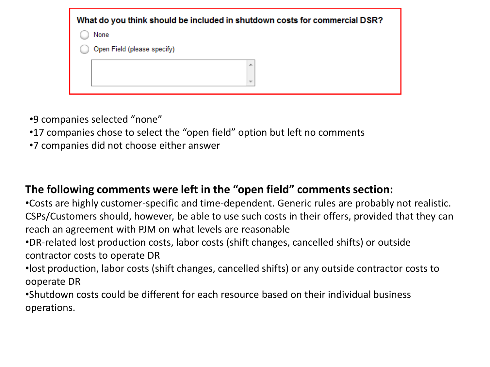| What do you think should be included in shutdown costs for commercial DSR? |  |  |
|----------------------------------------------------------------------------|--|--|
| None                                                                       |  |  |
| Open Field (please specify)                                                |  |  |
| ∸                                                                          |  |  |

•9 companies selected "none"

- •17 companies chose to select the "open field" option but left no comments
- •7 companies did not choose either answer

## **The following comments were left in the "open field" comments section:**

•Costs are highly customer-specific and time-dependent. Generic rules are probably not realistic. CSPs/Customers should, however, be able to use such costs in their offers, provided that they can reach an agreement with PJM on what levels are reasonable

•DR-related lost production costs, labor costs (shift changes, cancelled shifts) or outside contractor costs to operate DR

•lost production, labor costs (shift changes, cancelled shifts) or any outside contractor costs to ooperate DR

•Shutdown costs could be different for each resource based on their individual business operations.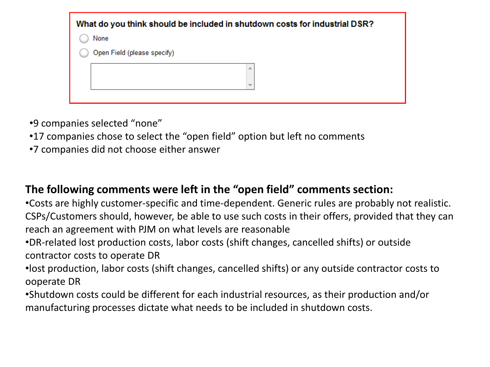| What do you think should be included in shutdown costs for industrial DSR? |                             |  |  |
|----------------------------------------------------------------------------|-----------------------------|--|--|
|                                                                            | None                        |  |  |
|                                                                            | Open Field (please specify) |  |  |
|                                                                            | 止                           |  |  |
|                                                                            | $\overline{\phantom{a}}$    |  |  |
|                                                                            |                             |  |  |

•9 companies selected "none"

- •17 companies chose to select the "open field" option but left no comments
- •7 companies did not choose either answer

## **The following comments were left in the "open field" comments section:**

•Costs are highly customer-specific and time-dependent. Generic rules are probably not realistic. CSPs/Customers should, however, be able to use such costs in their offers, provided that they can reach an agreement with PJM on what levels are reasonable

•DR-related lost production costs, labor costs (shift changes, cancelled shifts) or outside contractor costs to operate DR

•lost production, labor costs (shift changes, cancelled shifts) or any outside contractor costs to ooperate DR

•Shutdown costs could be different for each industrial resources, as their production and/or manufacturing processes dictate what needs to be included in shutdown costs.